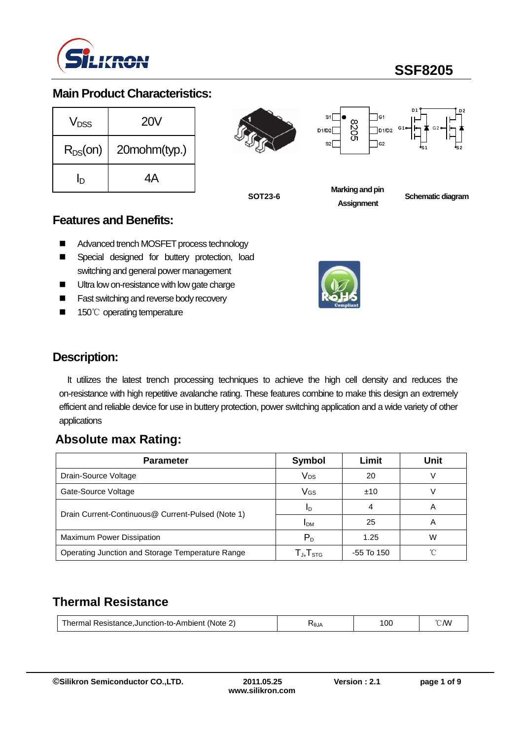

# **SSF8205**

### **Main Product Characteristics:**

| V <sub>DSS</sub> | <b>20V</b>   |
|------------------|--------------|
| $R_{DS}(on)$     | 20mohm(typ.) |
| In               | ΔA           |

8205 D1/D2  $s<sub>2</sub>$ 



**SOT23-6**

**Marking and pin Assignment**

**Schematic diagram** 

#### **Features and Benefits:**

- Advanced trench MOSFET process technology
- **E** Special designed for buttery protection, load switching and general power management
- **Ultra low on-resistance with low gate charge**
- Fast switching and reverse body recovery
- 150℃ operating temperature



## **Description:**

It utilizes the latest trench processing techniques to achieve the high cell density and reduces the on-resistance with high repetitive avalanche rating. These features combine to make this design an extremely efficient and reliable device for use in buttery protection, power switching application and a wide variety of other applications

## **Absolute max Rating:**

| <b>Parameter</b>                                  | Symbol                     | Limit        | Unit |
|---------------------------------------------------|----------------------------|--------------|------|
| Drain-Source Voltage                              | Vps                        | 20           |      |
| Gate-Source Voltage                               | Vgs                        | ±10          |      |
|                                                   | 1 <sub>D</sub>             |              | Α    |
| Drain Current-Continuous@ Current-Pulsed (Note 1) | I <sub>DM</sub>            | 25           | Α    |
| Maximum Power Dissipation                         | $P_D$                      | 1.25         | W    |
| Operating Junction and Storage Temperature Range  | ${\sf T_J}, {\sf T_{STG}}$ | $-55$ To 150 | °∩   |

## **Thermal Resistance**

| Resistance.Junction-to-Ambient<br>⊥herm<br>na!<br>(Note | <b>RLG7</b> | 100 | /VV |
|---------------------------------------------------------|-------------|-----|-----|
|                                                         |             |     |     |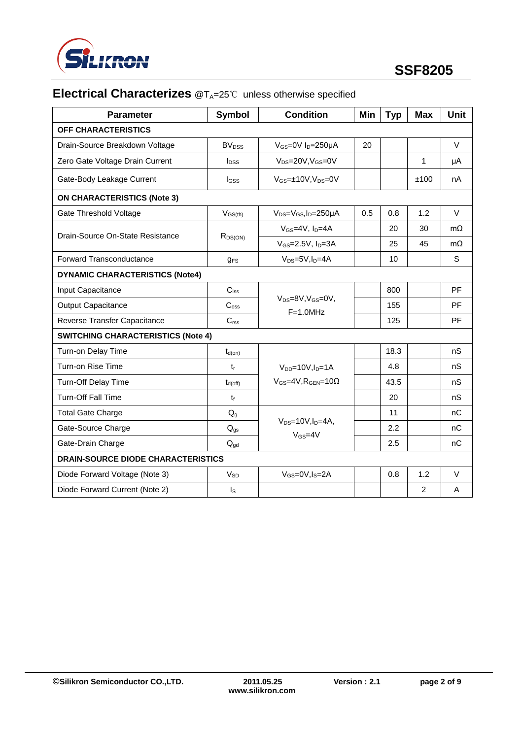

# **Electrical Characterizes** @T<sub>A</sub>=25℃ unless otherwise specified

| <b>Parameter</b>                          | <b>Symbol</b>         | <b>Condition</b>                                   | Min | <b>Typ</b> | <b>Max</b>     | <b>Unit</b> |
|-------------------------------------------|-----------------------|----------------------------------------------------|-----|------------|----------------|-------------|
| OFF CHARACTERISTICS                       |                       |                                                    |     |            |                |             |
| Drain-Source Breakdown Voltage            | BV <sub>DSS</sub>     | $V_{GS}$ =0V I <sub>D</sub> =250µA                 | 20  |            |                | $\vee$      |
| Zero Gate Voltage Drain Current           | $I_{DSS}$             | $V_{DS} = 20V$ , $V_{GS} = 0V$                     |     |            | 1              | μA          |
| Gate-Body Leakage Current                 | $I_{GSS}$             | $V_{GS} = \pm 10V$ , $V_{DS} = 0V$                 |     |            | ±100           | nA          |
| <b>ON CHARACTERISTICS (Note 3)</b>        |                       |                                                    |     |            |                |             |
| <b>Gate Threshold Voltage</b>             | $V_{GS(th)}$          | $V_{DS} = V_{GS}$ , I <sub>D</sub> =250 $\mu$ A    | 0.5 | 0.8        | 1.2            | $\vee$      |
|                                           |                       | $V$ <sub>GS</sub> =4V, $ID=4A$                     |     | 20         | 30             | $m\Omega$   |
| Drain-Source On-State Resistance          | $R_{DS(ON)}$          | $V_{GS} = 2.5V$ , $I_D = 3A$                       |     | 25         | 45             | $m\Omega$   |
| Forward Transconductance                  | $q_{FS}$              | $V_{DS}=5V, I_D=4A$                                |     | 10         |                | S           |
| <b>DYNAMIC CHARACTERISTICS (Note4)</b>    |                       |                                                    |     |            |                |             |
| Input Capacitance                         | $C_{\text{Iss}}$      |                                                    |     | 800        |                | PF          |
| <b>Output Capacitance</b>                 | C <sub>oss</sub>      | $V_{DS}=8V$ , $V_{GS}=0V$ ,<br>$F=1.0$ MHz         |     | 155        |                | <b>PF</b>   |
| Reverse Transfer Capacitance              | C <sub>rss</sub>      |                                                    |     | 125        |                | <b>PF</b>   |
| <b>SWITCHING CHARACTERISTICS (Note 4)</b> |                       |                                                    |     |            |                |             |
| Turn-on Delay Time                        | $t_{d(on)}$           |                                                    |     | 18.3       |                | nS          |
| Turn-on Rise Time                         | $t_{r}$               | $V_{DD} = 10V, I_D = 1A$                           |     | 4.8        |                | nS          |
| Turn-Off Delay Time                       | $t_{d(off)}$          | $V_{GS}$ =4V, R <sub>GEN</sub> =10 $\Omega$        |     | 43.5       |                | nS          |
| <b>Turn-Off Fall Time</b>                 | $t_{\rm f}$           |                                                    |     | 20         |                | nS          |
| <b>Total Gate Charge</b>                  | $Q_{q}$               |                                                    |     | 11         |                | nC          |
| Gate-Source Charge                        | $Q_{gs}$              | $V_{DS}=10V, I_D=4A$ ,<br>$V$ <sub>GS</sub> =4 $V$ |     | 2.2        |                | nC          |
| Gate-Drain Charge                         | $Q_{gd}$              |                                                    |     | 2.5        |                | nC          |
| <b>DRAIN-SOURCE DIODE CHARACTERISTICS</b> |                       |                                                    |     |            |                |             |
| Diode Forward Voltage (Note 3)            | <b>V<sub>SD</sub></b> | $V_{GS}=0V, I_S=2A$                                |     | 0.8        | 1.2            | V           |
| Diode Forward Current (Note 2)            | $I_{\rm S}$           |                                                    |     |            | $\overline{2}$ | A           |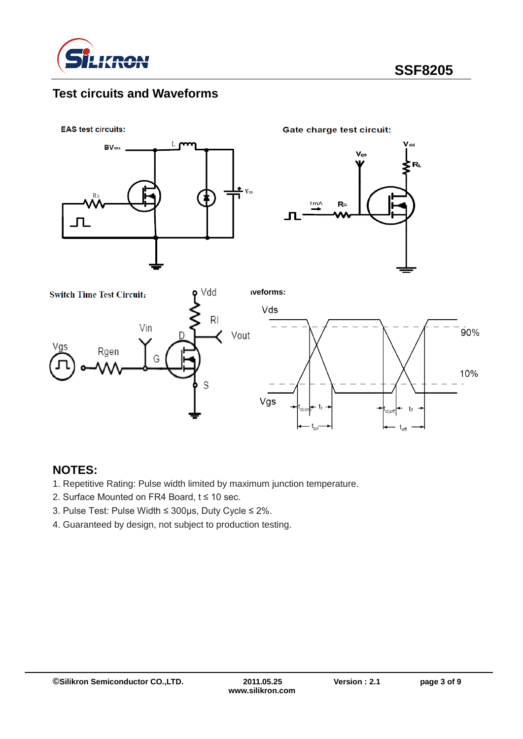

## **Test circuits and Waveforms**



#### **NOTES:**

- 1. Repetitive Rating: Pulse width limited by maximum junction temperature.
- 2. Surface Mounted on FR4 Board, t ≤ 10 sec.
- 3. Pulse Test: Pulse Width ≤ 300μs, Duty Cycle ≤ 2%.
- 4. Guaranteed by design, not subject to production testing.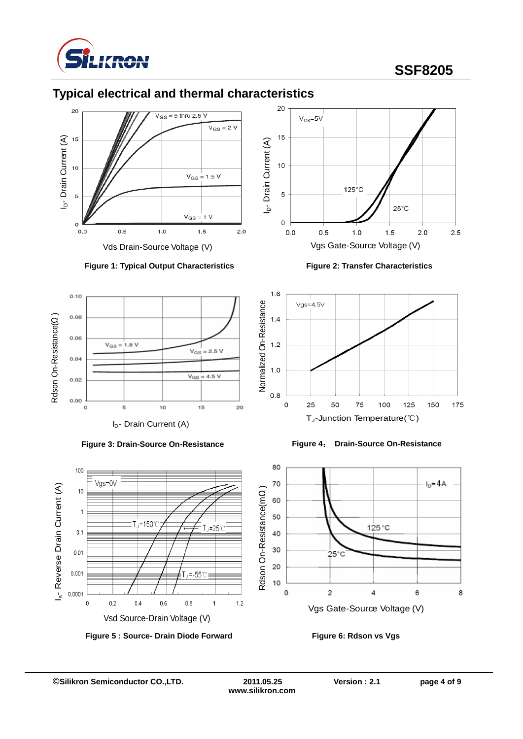

# **SSF8205**



## **Typical electrical and thermal characteristics**





**Figure 3: Drain-Source On-Resistance**



**Figure 2: Transfer Characteristics**







**www.silikron.com**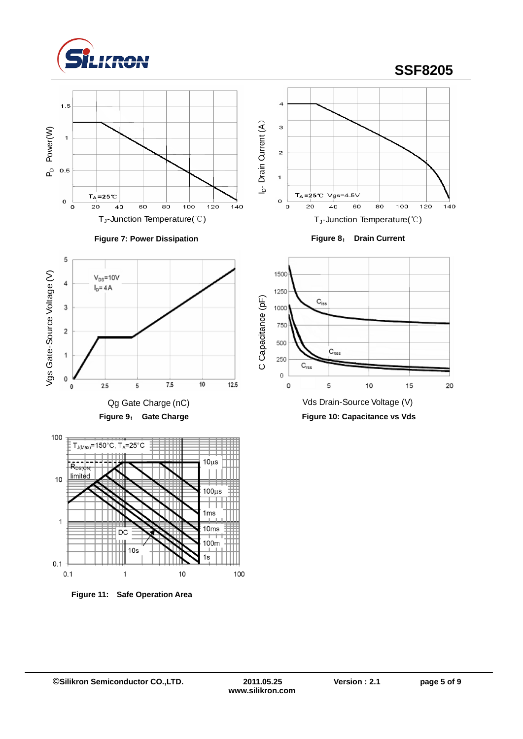

5

 $\overline{1}$ 

 $0.1$  $0.1$ 

# **SSF8205**











**Figure 10: Capacitance vs Vds**



**Figure 11: Safe Operation Area**

 $10<sub>s</sub>$ 

DC

 $\overline{1}$ 

1<sub>ms</sub>

10<sub>ms</sub>

 $100<sub>m</sub>$ 

100

 $1s$ 

10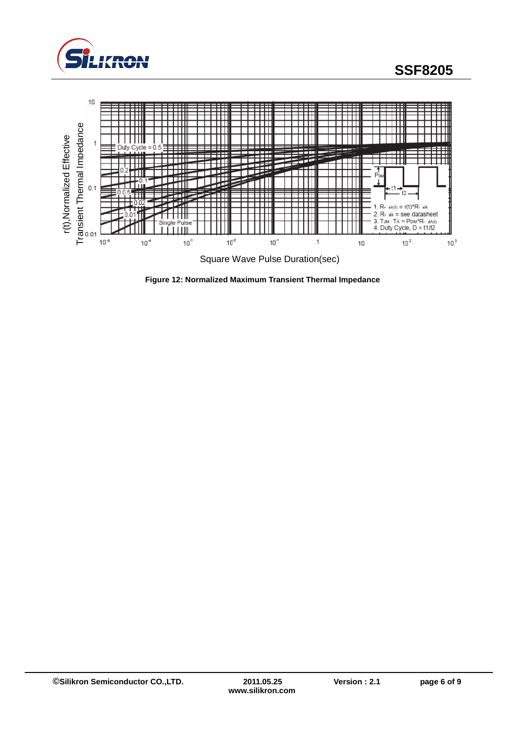



**Figure 12: Normalized Maximum Transient Thermal Impedance**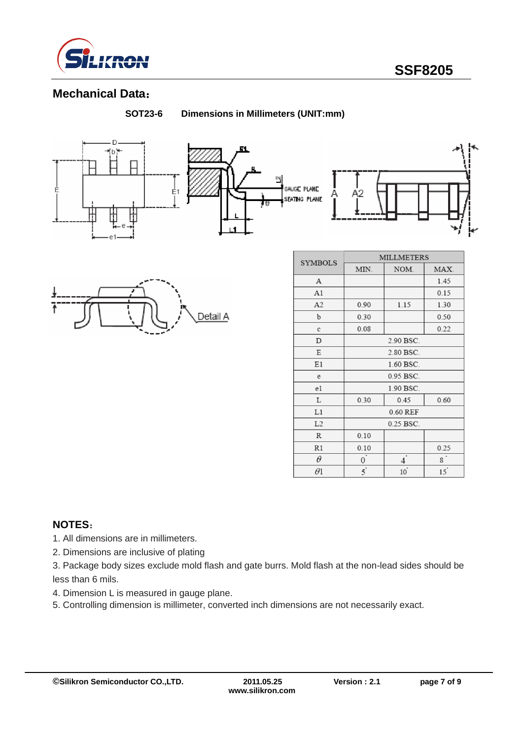

### **Mechanical Data**:

**SOT23-6 Dimensions in Millimeters (UNIT:mm)**









| <b>SYMBOLS</b> | <b>MILLMETERS</b> |                |         |  |  |
|----------------|-------------------|----------------|---------|--|--|
|                | NOM.<br>MIN.      |                | MAX.    |  |  |
| А              |                   |                | 1.45    |  |  |
| A1             |                   |                | 0.15    |  |  |
| A <sub>2</sub> | 0.90              | 1.15           | 1.30    |  |  |
| b              | 0.30              |                | 0.50    |  |  |
| c              | 0.08              |                | 0.22    |  |  |
| D              | 2.90 BSC.         |                |         |  |  |
| Ε              | 2.80 BSC.         |                |         |  |  |
| E1             | 1.60 BSC.         |                |         |  |  |
| e              | 0.95 BSC.         |                |         |  |  |
| e1             | 1.90 BSC.         |                |         |  |  |
| L              | 0.30              | 0.60           |         |  |  |
| L1             | 0.60 REF          |                |         |  |  |
| L2             | 0.25 BSC.         |                |         |  |  |
| R              | 0.10              |                |         |  |  |
| R1             | 0.10              |                | 0.25    |  |  |
| θ              | 0                 | 4              | $\bf 8$ |  |  |
| θ1             | $\overline{5}$    | $10^{\degree}$ | 15      |  |  |

#### **NOTES**:

- 1. All dimensions are in millimeters.
- 2. Dimensions are inclusive of plating
- 3. Package body sizes exclude mold flash and gate burrs. Mold flash at the non-lead sides should be less than 6 mils.
- 4. Dimension L is measured in gauge plane.
- 5. Controlling dimension is millimeter, converted inch dimensions are not necessarily exact.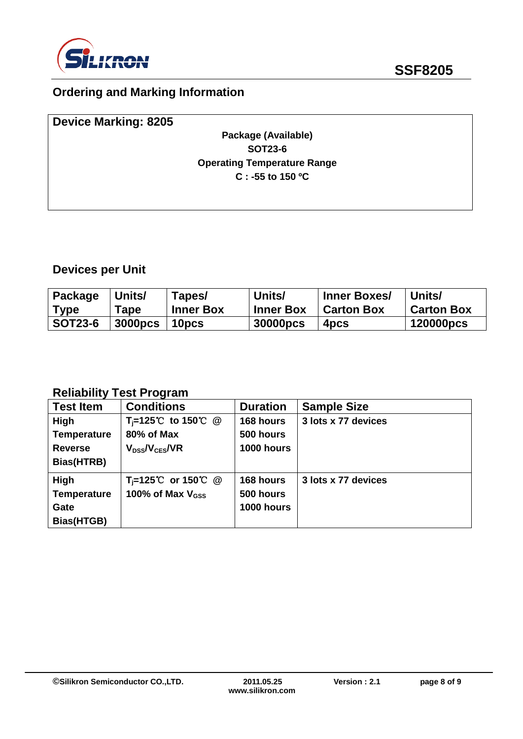

# **Ordering and Marking Information**

| <b>Device Marking: 8205</b> |                                    |  |
|-----------------------------|------------------------------------|--|
|                             | Package (Available)                |  |
|                             | <b>SOT23-6</b>                     |  |
|                             | <b>Operating Temperature Range</b> |  |
|                             | $C: -55$ to 150 °C                 |  |
|                             |                                    |  |
|                             |                                    |  |

# **Devices per Unit**

| Package        | Units/         | Tapes/            | Units/           | <b>Inner Boxes/</b> | Units/            |
|----------------|----------------|-------------------|------------------|---------------------|-------------------|
| Type           | Tape           | <b>Inner Box</b>  | <b>Inner Box</b> | <b>Carton Box</b>   | <b>Carton Box</b> |
| <b>SOT23-6</b> | <b>3000pcs</b> | 10 <sub>pcs</sub> | 30000pcs         | 4 <sub>pcs</sub>    | 120000pcs         |

## **Reliability Test Program**

| <b>Test Item</b>   | <b>Conditions</b>              | <b>Duration</b> | <b>Sample Size</b>  |
|--------------------|--------------------------------|-----------------|---------------------|
| High               | T <sub>i</sub> =125℃ to 150℃ @ | 168 hours       | 3 lots x 77 devices |
| <b>Temperature</b> | 80% of Max                     | 500 hours       |                     |
| <b>Reverse</b>     | $V_{DS}$ / $V_{CES}$ /VR       | 1000 hours      |                     |
| Bias(HTRB)         |                                |                 |                     |
| High               | $T_i=125^{\circ}C$ or 150 °C @ | 168 hours       | 3 lots x 77 devices |
| <b>Temperature</b> | 100% of Max $V_{\rm dss}$      | 500 hours       |                     |
| Gate               |                                | 1000 hours      |                     |
| Bias(HTGB)         |                                |                 |                     |